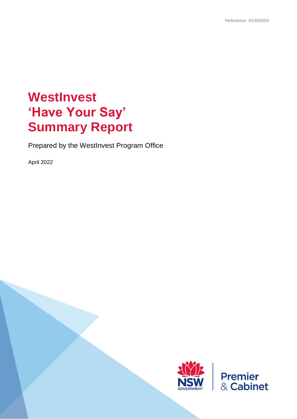# **WestInvest 'Have Your Say' Summary Report**

Prepared by the WestInvest Program Office

April 2022



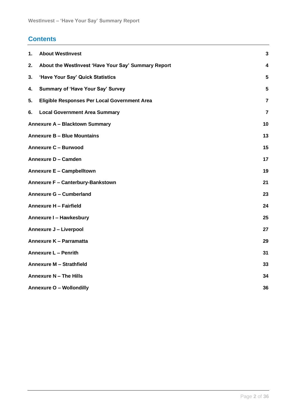### **Contents**

| 1. | <b>About WestInvest</b>                             | $\mathbf{3}$    |
|----|-----------------------------------------------------|-----------------|
| 2. | About the WestInvest 'Have Your Say' Summary Report | 4               |
| 3. | 'Have Your Say' Quick Statistics                    | 5               |
| 4. | <b>Summary of 'Have Your Say' Survey</b>            | $5\phantom{.0}$ |
| 5. | Eligible Responses Per Local Government Area        | $\overline{7}$  |
| 6. | <b>Local Government Area Summary</b>                | $\overline{7}$  |
|    | <b>Annexure A - Blacktown Summary</b>               | 10              |
|    | <b>Annexure B - Blue Mountains</b>                  | 13              |
|    | <b>Annexure C - Burwood</b>                         | 15              |
|    | Annexure D - Camden                                 | 17              |
|    | Annexure E - Campbelltown                           | 19              |
|    | Annexure F - Canterbury-Bankstown                   | 21              |
|    | <b>Annexure G - Cumberland</b>                      | 23              |
|    | Annexure H - Fairfield                              | 24              |
|    | Annexure I - Hawkesbury                             | 25              |
|    | <b>Annexure J - Liverpool</b>                       | 27              |
|    | Annexure K - Parramatta                             | 29              |
|    | <b>Annexure L - Penrith</b>                         | 31              |
|    | Annexure M - Strathfield                            | 33              |
|    | Annexure N - The Hills                              | 34              |
|    | <b>Annexure O - Wollondilly</b>                     | 36              |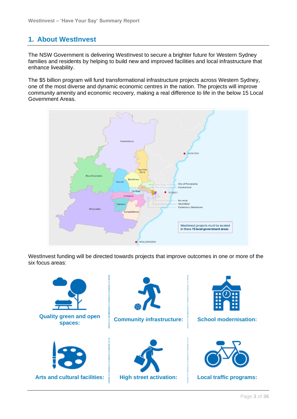### <span id="page-2-0"></span>**1. About WestInvest**

The NSW Government is delivering WestInvest to secure a brighter future for Western Sydney families and residents by helping to build new and improved facilities and local infrastructure that enhance liveability.

The \$5 billion program will fund transformational infrastructure projects across Western Sydney, one of the most diverse and dynamic economic centres in the nation. The projects will improve community amenity and economic recovery, making a real difference to life in the below 15 Local Government Areas.



WestInvest funding will be directed towards projects that improve outcomes in one or more of the six focus areas:

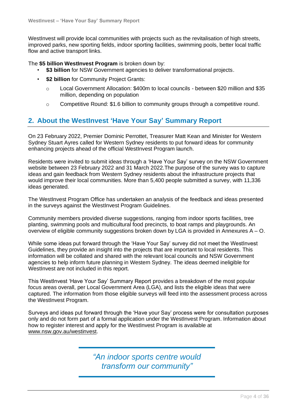WestInvest will provide local communities with projects such as the revitalisation of high streets, improved parks, new sporting fields, indoor sporting facilities, swimming pools, better local traffic flow and active transport links.

The **\$5 billion WestInvest Program** is broken down by:

- \$3 billion for NSW Government agencies to deliver transformational projects.
- **\$2 billion** for Community Project Grants:
	- o Local Government Allocation: \$400m to local councils between \$20 million and \$35 million, depending on population
	- o Competitive Round: \$1.6 billion to community groups through a competitive round.

### <span id="page-3-0"></span>**2. About the WestInvest 'Have Your Say' Summary Report**

On 23 February 2022, Premier Dominic Perrottet, Treasurer Matt Kean and Minister for Western Sydney Stuart Ayres called for Western Sydney residents to put forward ideas for community enhancing projects ahead of the official WestInvest Program launch.

Residents were invited to submit ideas through a 'Have Your Say' survey on the NSW Government website between 23 February 2022 and 31 March 2022.The purpose of the survey was to capture ideas and gain feedback from Western Sydney residents about the infrastructure projects that would improve their local communities. More than 5,400 people submitted a survey, with 11,336 ideas generated.

The WestInvest Program Office has undertaken an analysis of the feedback and ideas presented in the surveys against the WestInvest Program Guidelines.

Community members provided diverse suggestions, ranging from indoor sports facilities, tree planting, swimming pools and multicultural food precincts, to boat ramps and playgrounds. An overview of eligible community suggestions broken down by LGA is provided in Annexures A – O.

While some ideas put forward through the 'Have Your Say' survey did not meet the WestInvest Guidelines, they provide an insight into the projects that are important to local residents. This information will be collated and shared with the relevant local councils and NSW Government agencies to help inform future planning in Western Sydney. The ideas deemed ineligible for WestInvest are not included in this report.

This WestInvest 'Have Your Say' Summary Report provides a breakdown of the most popular focus areas overall, per Local Government Area (LGA), and lists the eligible ideas that were captured. The information from those eligible surveys will feed into the assessment process across the WestInvest Program.

Surveys and ideas put forward through the 'Have your Say' process were for consultation purposes only and do not form part of a formal application under the WestInvest Program. Information about how to register interest and apply for the WestInvest Program is available at [www.nsw.gov.au/westinvest.](http://www.nsw.gov.au/westinvest)

> *"An indoor sports centre would transform our community"*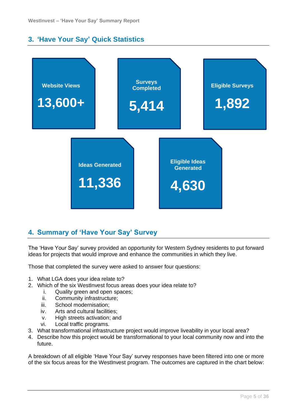### <span id="page-4-0"></span>**3. 'Have Your Say' Quick Statistics**



### <span id="page-4-1"></span>**4. Summary of 'Have Your Say' Survey**

The 'Have Your Say' survey provided an opportunity for Western Sydney residents to put forward ideas for projects that would improve and enhance the communities in which they live.

Those that completed the survey were asked to answer four questions:

- 1. What LGA does your idea relate to?
- 2. Which of the six WestInvest focus areas does your idea relate to?
	- i. Quality green and open spaces;
	- ii. Community infrastructure;
	- iii. School modernisation;
	- iv. Arts and cultural facilities;
	- v. High streets activation; and
	- vi. Local traffic programs.
- 3. What transformational infrastructure project would improve liveability in your local area?
- 4. Describe how this project would be transformational to your local community now and into the future.

A breakdown of all eligible 'Have Your Say' survey responses have been filtered into one or more of the six focus areas for the WestInvest program. The outcomes are captured in the chart below: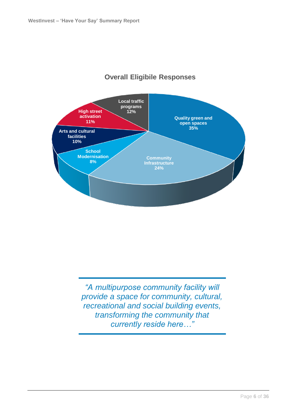

### **Overall Eligibile Responses**

*"A multipurpose community facility will provide a space for community, cultural, recreational and social building events, transforming the community that currently reside here…"*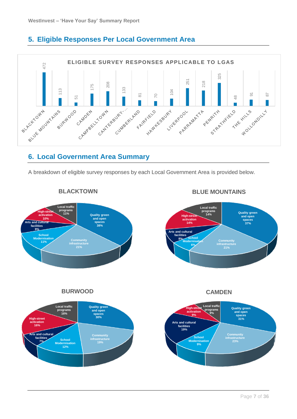### <span id="page-6-0"></span>**5. Eligible Responses Per Local Government Area**



### <span id="page-6-1"></span>**6. Local Government Area Summary**

A breakdown of eligible survey responses by each Local Government Area is provided below.



#### **BLACKTOWN**

Page **7** of **36**

**BLUE MOUNTAINS**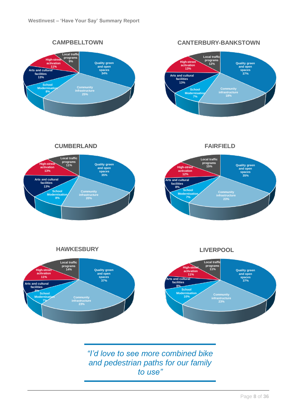**CAMPBELLTOWN**



#### **CANTERBURY-BANKSTOWN**



**HAWKESBURY CUMBERLAND**



**FAIRFIELD** 

**School Modernisation 7%**

**Community infrastructure 23%**



**HAWKESBURY**

**LIVERPOOL**



*"I'd love to see more combined bike and pedestrian paths for our family to use"*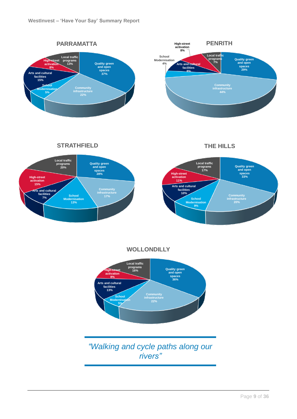

**STRATHFIELD**





**WOLLONDILLY**



*"Walking and cycle paths along our rivers"*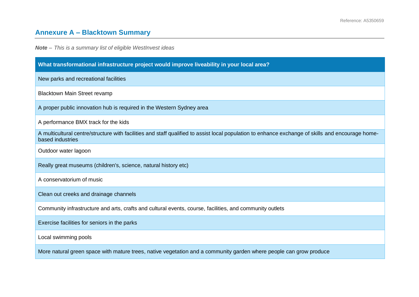# **Annexure A – Blacktown Summary**

<span id="page-9-0"></span>

| What transformational infrastructure project would improve liveability in your local area?                                                                            |  |
|-----------------------------------------------------------------------------------------------------------------------------------------------------------------------|--|
| New parks and recreational facilities                                                                                                                                 |  |
| Blacktown Main Street revamp                                                                                                                                          |  |
| A proper public innovation hub is required in the Western Sydney area                                                                                                 |  |
| A performance BMX track for the kids                                                                                                                                  |  |
| A multicultural centre/structure with facilities and staff qualified to assist local population to enhance exchange of skills and encourage home-<br>based industries |  |
| Outdoor water lagoon                                                                                                                                                  |  |
| Really great museums (children's, science, natural history etc)                                                                                                       |  |
| A conservatorium of music                                                                                                                                             |  |
| Clean out creeks and drainage channels                                                                                                                                |  |
| Community infrastructure and arts, crafts and cultural events, course, facilities, and community outlets                                                              |  |
| Exercise facilities for seniors in the parks                                                                                                                          |  |
| Local swimming pools                                                                                                                                                  |  |
| More natural green space with mature trees, native vegetation and a community garden where people can grow produce                                                    |  |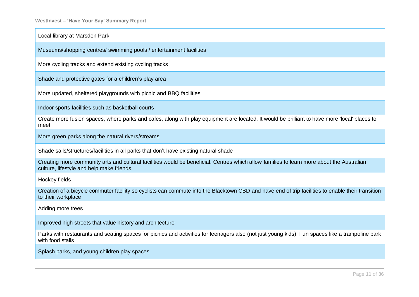Local library at Marsden Park

Museums/shopping centres/ swimming pools / entertainment facilities

More cycling tracks and extend existing cycling tracks

Shade and protective gates for a children's play area

More updated, sheltered playgrounds with picnic and BBQ facilities

Indoor sports facilities such as basketball courts

Create more fusion spaces, where parks and cafes, along with play equipment are located. It would be brilliant to have more 'local' places to meet

More green parks along the natural rivers/streams

Shade sails/structures/facilities in all parks that don't have existing natural shade

Creating more community arts and cultural facilities would be beneficial. Centres which allow families to learn more about the Australian culture, lifestyle and help make friends

Hockey fields

Creation of a bicycle commuter facility so cyclists can commute into the Blacktown CBD and have end of trip facilities to enable their transition to their workplace

Adding more trees

Improved high streets that value history and architecture

Parks with restaurants and seating spaces for picnics and activities for teenagers also (not just young kids). Fun spaces like a trampoline park with food stalls

Splash parks, and young children play spaces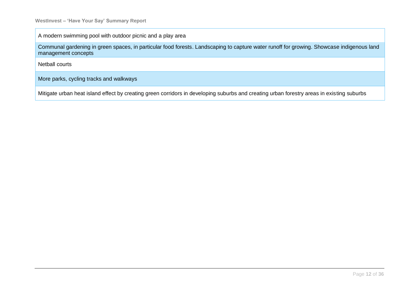A modern swimming pool with outdoor picnic and a play area

Communal gardening in green spaces, in particular food forests. Landscaping to capture water runoff for growing. Showcase indigenous land management concepts

Netball courts

More parks, cycling tracks and walkways

Mitigate urban heat island effect by creating green corridors in developing suburbs and creating urban forestry areas in existing suburbs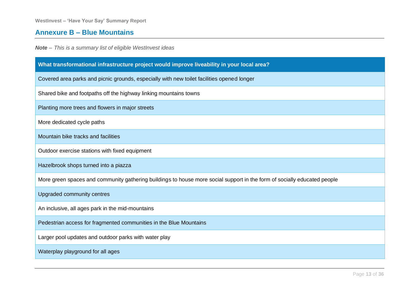### **Annexure B – Blue Mountains**

<span id="page-12-0"></span>

| What transformational infrastructure project would improve liveability in your local area?                               |  |  |
|--------------------------------------------------------------------------------------------------------------------------|--|--|
| Covered area parks and picnic grounds, especially with new toilet facilities opened longer                               |  |  |
| Shared bike and footpaths off the highway linking mountains towns                                                        |  |  |
| Planting more trees and flowers in major streets                                                                         |  |  |
| More dedicated cycle paths                                                                                               |  |  |
| Mountain bike tracks and facilities                                                                                      |  |  |
| Outdoor exercise stations with fixed equipment                                                                           |  |  |
| Hazelbrook shops turned into a piazza                                                                                    |  |  |
| More green spaces and community gathering buildings to house more social support in the form of socially educated people |  |  |
| Upgraded community centres                                                                                               |  |  |
| An inclusive, all ages park in the mid-mountains                                                                         |  |  |
| Pedestrian access for fragmented communities in the Blue Mountains                                                       |  |  |
| Larger pool updates and outdoor parks with water play                                                                    |  |  |
| Waterplay playground for all ages                                                                                        |  |  |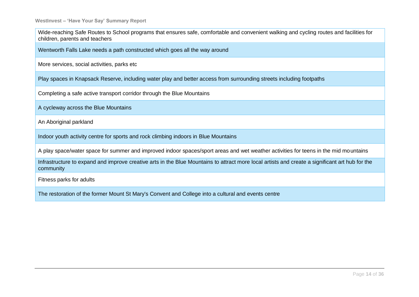Wide-reaching Safe Routes to School programs that ensures safe, comfortable and convenient walking and cycling routes and facilities for children, parents and teachers

Wentworth Falls Lake needs a path constructed which goes all the way around

More services, social activities, parks etc

Play spaces in Knapsack Reserve, including water play and better access from surrounding streets including footpaths

Completing a safe active transport corridor through the Blue Mountains

A cycleway across the Blue Mountains

An Aboriginal parkland

Indoor youth activity centre for sports and rock climbing indoors in Blue Mountains

A play space/water space for summer and improved indoor spaces/sport areas and wet weather activities for teens in the mid mountains

Infrastructure to expand and improve creative arts in the Blue Mountains to attract more local artists and create a significant art hub for the community

Fitness parks for adults

The restoration of the former Mount St Mary's Convent and College into a cultural and events centre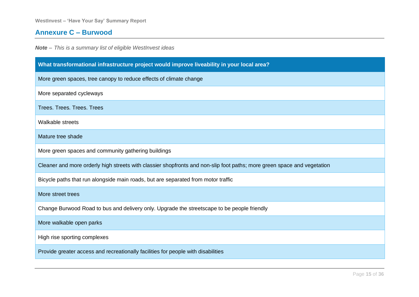### **Annexure C – Burwood**

<span id="page-14-0"></span>

| What transformational infrastructure project would improve liveability in your local area?                              |  |
|-------------------------------------------------------------------------------------------------------------------------|--|
| More green spaces, tree canopy to reduce effects of climate change                                                      |  |
| More separated cycleways                                                                                                |  |
| <b>Trees. Trees. Trees. Trees</b>                                                                                       |  |
| Walkable streets                                                                                                        |  |
| Mature tree shade                                                                                                       |  |
| More green spaces and community gathering buildings                                                                     |  |
| Cleaner and more orderly high streets with classier shopfronts and non-slip foot paths; more green space and vegetation |  |
| Bicycle paths that run alongside main roads, but are separated from motor traffic                                       |  |
| More street trees                                                                                                       |  |
| Change Burwood Road to bus and delivery only. Upgrade the streetscape to be people friendly                             |  |
| More walkable open parks                                                                                                |  |
| High rise sporting complexes                                                                                            |  |
| Provide greater access and recreationally facilities for people with disabilities                                       |  |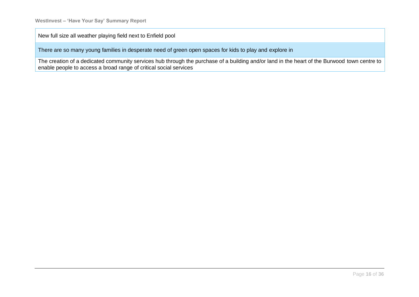New full size all weather playing field next to Enfield pool

There are so many young families in desperate need of green open spaces for kids to play and explore in

The creation of a dedicated community services hub through the purchase of a building and/or land in the heart of the Burwood town centre to enable people to access a broad range of critical social services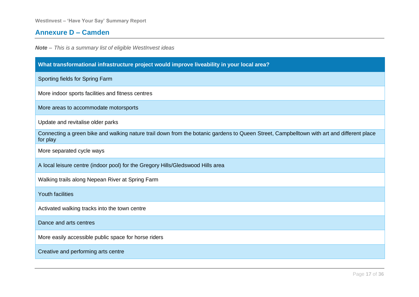### **Annexure D – Camden**

<span id="page-16-0"></span>

| What transformational infrastructure project would improve liveability in your local area?                                                            |  |
|-------------------------------------------------------------------------------------------------------------------------------------------------------|--|
| Sporting fields for Spring Farm                                                                                                                       |  |
| More indoor sports facilities and fitness centres                                                                                                     |  |
| More areas to accommodate motorsports                                                                                                                 |  |
| Update and revitalise older parks                                                                                                                     |  |
| Connecting a green bike and walking nature trail down from the botanic gardens to Queen Street, Campbelltown with art and different place<br>for play |  |
| More separated cycle ways                                                                                                                             |  |
| A local leisure centre (indoor pool) for the Gregory Hills/Gledswood Hills area                                                                       |  |
| Walking trails along Nepean River at Spring Farm                                                                                                      |  |
| <b>Youth facilities</b>                                                                                                                               |  |
| Activated walking tracks into the town centre                                                                                                         |  |
| Dance and arts centres                                                                                                                                |  |
| More easily accessible public space for horse riders                                                                                                  |  |
| Creative and performing arts centre                                                                                                                   |  |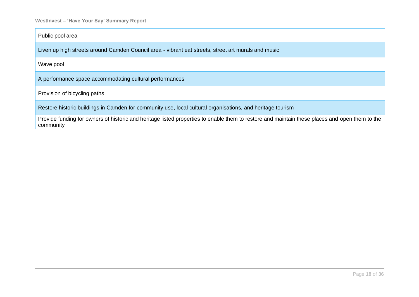Public pool area

Liven up high streets around Camden Council area - vibrant eat streets, street art murals and music

Wave pool

A performance space accommodating cultural performances

Provision of bicycling paths

Restore historic buildings in Camden for community use, local cultural organisations, and heritage tourism

Provide funding for owners of historic and heritage listed properties to enable them to restore and maintain these places and open them to the community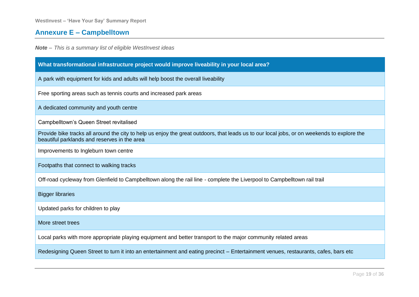## **Annexure E – Campbelltown**

<span id="page-18-0"></span>

| What transformational infrastructure project would improve liveability in your local area?                                                                                                  |  |
|---------------------------------------------------------------------------------------------------------------------------------------------------------------------------------------------|--|
| A park with equipment for kids and adults will help boost the overall liveability                                                                                                           |  |
| Free sporting areas such as tennis courts and increased park areas                                                                                                                          |  |
| A dedicated community and youth centre                                                                                                                                                      |  |
| Campbelltown's Queen Street revitalised                                                                                                                                                     |  |
| Provide bike tracks all around the city to help us enjoy the great outdoors, that leads us to our local jobs, or on weekends to explore the<br>beautiful parklands and reserves in the area |  |
| Improvements to Ingleburn town centre                                                                                                                                                       |  |
| Footpaths that connect to walking tracks                                                                                                                                                    |  |
| Off-road cycleway from Glenfield to Campbelltown along the rail line - complete the Liverpool to Campbelltown rail trail                                                                    |  |
| <b>Bigger libraries</b>                                                                                                                                                                     |  |
| Updated parks for children to play                                                                                                                                                          |  |
| More street trees                                                                                                                                                                           |  |
| Local parks with more appropriate playing equipment and better transport to the major community related areas                                                                               |  |
| Redesigning Queen Street to turn it into an entertainment and eating precinct - Entertainment venues, restaurants, cafes, bars etc                                                          |  |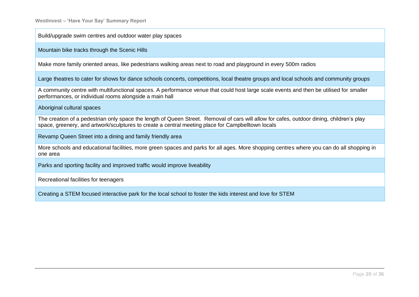Build/upgrade swim centres and outdoor water play spaces

Mountain bike tracks through the Scenic Hills

Make more family oriented areas, like pedestrians walking areas next to road and playground in every 500m radios

Large theatres to cater for shows for dance schools concerts, competitions, local theatre groups and local schools and community groups

A community centre with multifunctional spaces. A performance venue that could host large scale events and then be utilised for smaller performances, or individual rooms alongside a main hall

Aboriginal cultural spaces

The creation of a pedestrian only space the length of Queen Street. Removal of cars will allow for cafes, outdoor dining, children's play space, greenery, and artwork/sculptures to create a central meeting place for Campbelltown locals

Revamp Queen Street into a dining and family friendly area

More schools and educational facilities, more green spaces and parks for all ages. More shopping centres where you can do all shopping in one area

Parks and sporting facility and improved traffic would improve liveability

Recreational facilities for teenagers

Creating a STEM focused interactive park for the local school to foster the kids interest and love for STEM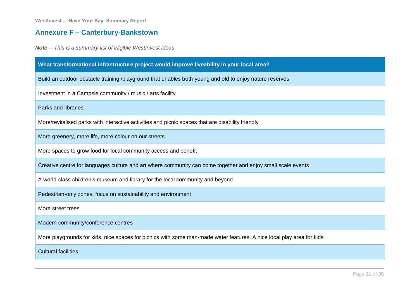## **Annexure F – Canterbury-Bankstown**

<span id="page-20-0"></span>

| What transformational infrastructure project would improve liveability in your local area?                            |  |
|-----------------------------------------------------------------------------------------------------------------------|--|
| Build an outdoor obstacle training /playground that enables both young and old to enjoy nature reserves               |  |
| Investment in a Campsie community / music / arts facility                                                             |  |
| <b>Parks and libraries</b>                                                                                            |  |
| More/revitalised parks with interactive activities and picnic spaces that are disability friendly                     |  |
| More greenery, more life, more colour on our streets                                                                  |  |
| More spaces to grow food for local community access and benefit                                                       |  |
| Creative centre for languages culture and art where community can come together and enjoy small scale events          |  |
| A world-class children's museum and library for the local community and beyond                                        |  |
| Pedestrian-only zones, focus on sustainability and environment                                                        |  |
| More street trees                                                                                                     |  |
| Modern community/conference centres                                                                                   |  |
| More playgrounds for kids, nice spaces for picnics with some man-made water features. A nice local play area for kids |  |
| <b>Cultural facilities</b>                                                                                            |  |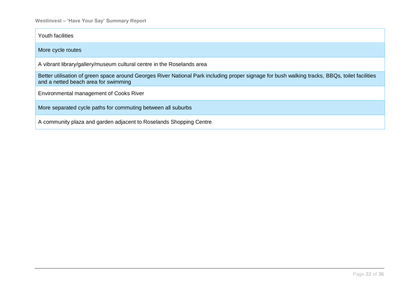Youth facilities

More cycle routes

A vibrant library/gallery/museum cultural centre in the Roselands area

Better utilisation of green space around Georges River National Park including proper signage for bush walking tracks, BBQs, toilet facilities and a netted beach area for swimming

Environmental management of Cooks River

More separated cycle paths for commuting between all suburbs

A community plaza and garden adjacent to Roselands Shopping Centre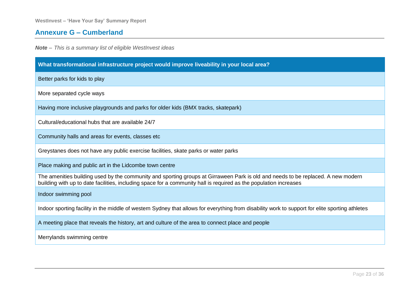### **Annexure G – Cumberland**

<span id="page-22-0"></span>

| What transformational infrastructure project would improve liveability in your local area?                                                                                                                                                            |  |
|-------------------------------------------------------------------------------------------------------------------------------------------------------------------------------------------------------------------------------------------------------|--|
| Better parks for kids to play                                                                                                                                                                                                                         |  |
| More separated cycle ways                                                                                                                                                                                                                             |  |
| Having more inclusive playgrounds and parks for older kids (BMX tracks, skatepark)                                                                                                                                                                    |  |
| Cultural/educational hubs that are available 24/7                                                                                                                                                                                                     |  |
| Community halls and areas for events, classes etc.                                                                                                                                                                                                    |  |
| Greystanes does not have any public exercise facilities, skate parks or water parks                                                                                                                                                                   |  |
| Place making and public art in the Lidcombe town centre                                                                                                                                                                                               |  |
| The amenities building used by the community and sporting groups at Girraween Park is old and needs to be replaced. A new modern<br>building with up to date facilities, including space for a community hall is required as the population increases |  |
| Indoor swimming pool                                                                                                                                                                                                                                  |  |
| Indoor sporting facility in the middle of western Sydney that allows for everything from disability work to support for elite sporting athletes                                                                                                       |  |
| A meeting place that reveals the history, art and culture of the area to connect place and people                                                                                                                                                     |  |
| Merrylands swimming centre                                                                                                                                                                                                                            |  |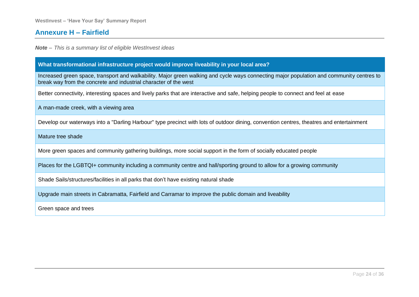#### **Annexure H – Fairfield**

*Note – This is a summary list of eligible WestInvest ideas*

#### **What transformational infrastructure project would improve liveability in your local area?**

Increased green space, transport and walkability. Major green walking and cycle ways connecting major population and community centres to break way from the concrete and industrial character of the west

Better connectivity, interesting spaces and lively parks that are interactive and safe, helping people to connect and feel at ease

A man-made creek, with a viewing area

Develop our waterways into a "Darling Harbour" type precinct with lots of outdoor dining, convention centres, theatres and entertainment

Mature tree shade

<span id="page-23-0"></span>More green spaces and community gathering buildings, more social support in the form of socially educated people

Places for the LGBTQI+ community including a community centre and hall/sporting ground to allow for a growing community

Shade Sails/structures/facilities in all parks that don't have existing natural shade

Upgrade main streets in Cabramatta, Fairfield and Carramar to improve the public domain and liveability

Green space and trees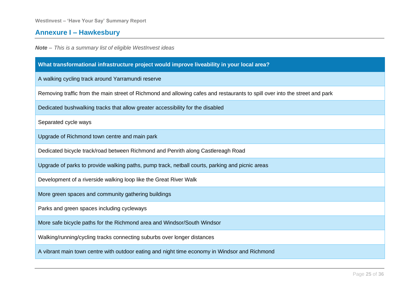## **Annexure I – Hawkesbury**

<span id="page-24-0"></span>

| What transformational infrastructure project would improve liveability in your local area?                                  |  |
|-----------------------------------------------------------------------------------------------------------------------------|--|
| A walking cycling track around Yarramundi reserve                                                                           |  |
| Removing traffic from the main street of Richmond and allowing cafes and restaurants to spill over into the street and park |  |
| Dedicated bushwalking tracks that allow greater accessibility for the disabled                                              |  |
| Separated cycle ways                                                                                                        |  |
| Upgrade of Richmond town centre and main park                                                                               |  |
| Dedicated bicycle track/road between Richmond and Penrith along Castlereagh Road                                            |  |
| Upgrade of parks to provide walking paths, pump track, netball courts, parking and picnic areas                             |  |
| Development of a riverside walking loop like the Great River Walk                                                           |  |
| More green spaces and community gathering buildings                                                                         |  |
| Parks and green spaces including cycleways                                                                                  |  |
| More safe bicycle paths for the Richmond area and Windsor/South Windsor                                                     |  |
| Walking/running/cycling tracks connecting suburbs over longer distances                                                     |  |
| A vibrant main town centre with outdoor eating and night time economy in Windsor and Richmond                               |  |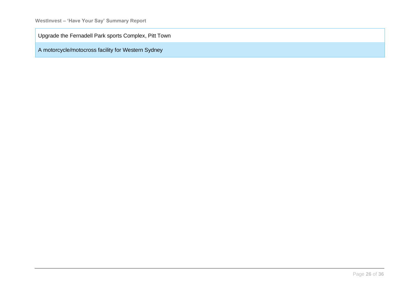Upgrade the Fernadell Park sports Complex, Pitt Town

A motorcycle/motocross facility for Western Sydney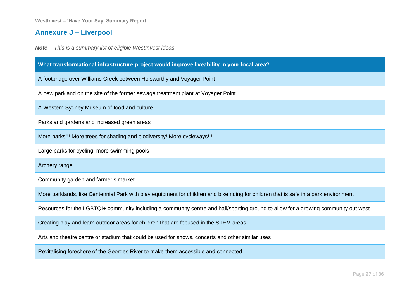## **Annexure J – Liverpool**

<span id="page-26-0"></span>

| What transformational infrastructure project would improve liveability in your local area?                                            |  |
|---------------------------------------------------------------------------------------------------------------------------------------|--|
| A footbridge over Williams Creek between Holsworthy and Voyager Point                                                                 |  |
| A new parkland on the site of the former sewage treatment plant at Voyager Point                                                      |  |
| A Western Sydney Museum of food and culture                                                                                           |  |
| Parks and gardens and increased green areas                                                                                           |  |
| More parks!!! More trees for shading and biodiversity! More cycleways!!!                                                              |  |
| Large parks for cycling, more swimming pools                                                                                          |  |
| Archery range                                                                                                                         |  |
| Community garden and farmer's market                                                                                                  |  |
| More parklands, like Centennial Park with play equipment for children and bike riding for children that is safe in a park environment |  |
| Resources for the LGBTQI+ community including a community centre and hall/sporting ground to allow for a growing community out west   |  |
| Creating play and learn outdoor areas for children that are focused in the STEM areas                                                 |  |
| Arts and theatre centre or stadium that could be used for shows, concerts and other similar uses                                      |  |
| Revitalising foreshore of the Georges River to make them accessible and connected                                                     |  |
|                                                                                                                                       |  |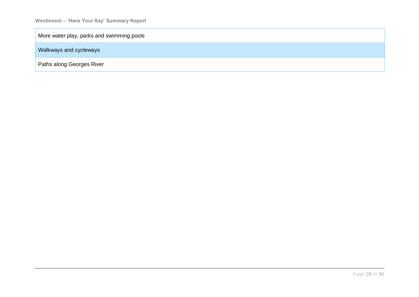More water play, parks and swimming pools

Walkways and cycleways

Paths along Georges River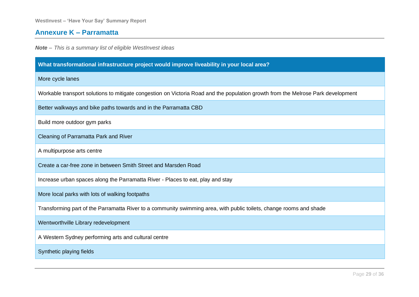### **Annexure K – Parramatta**

<span id="page-28-0"></span>

| What transformational infrastructure project would improve liveability in your local area?                                       |  |
|----------------------------------------------------------------------------------------------------------------------------------|--|
| More cycle lanes                                                                                                                 |  |
| Workable transport solutions to mitigate congestion on Victoria Road and the population growth from the Melrose Park development |  |
| Better walkways and bike paths towards and in the Parramatta CBD                                                                 |  |
| Build more outdoor gym parks                                                                                                     |  |
| Cleaning of Parramatta Park and River                                                                                            |  |
| A multipurpose arts centre                                                                                                       |  |
| Create a car-free zone in between Smith Street and Marsden Road                                                                  |  |
| Increase urban spaces along the Parramatta River - Places to eat, play and stay                                                  |  |
| More local parks with lots of walking footpaths                                                                                  |  |
| Transforming part of the Parramatta River to a community swimming area, with public toilets, change rooms and shade              |  |
| Wentworthville Library redevelopment                                                                                             |  |
| A Western Sydney performing arts and cultural centre                                                                             |  |
| Synthetic playing fields                                                                                                         |  |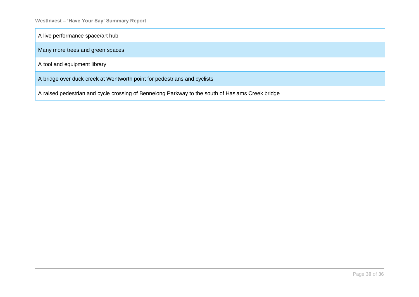A live performance space/art hub

Many more trees and green spaces

A tool and equipment library

A bridge over duck creek at Wentworth point for pedestrians and cyclists

A raised pedestrian and cycle crossing of Bennelong Parkway to the south of Haslams Creek bridge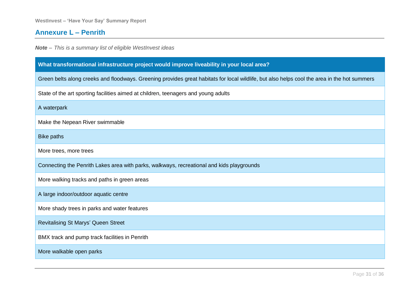### **Annexure L – Penrith**

<span id="page-30-0"></span>

| What transformational infrastructure project would improve liveability in your local area?                                                   |  |  |
|----------------------------------------------------------------------------------------------------------------------------------------------|--|--|
| Green belts along creeks and floodways. Greening provides great habitats for local wildlife, but also helps cool the area in the hot summers |  |  |
| State of the art sporting facilities aimed at children, teenagers and young adults                                                           |  |  |
| A waterpark                                                                                                                                  |  |  |
| Make the Nepean River swimmable                                                                                                              |  |  |
| <b>Bike paths</b>                                                                                                                            |  |  |
| More trees, more trees                                                                                                                       |  |  |
| Connecting the Penrith Lakes area with parks, walkways, recreational and kids playgrounds                                                    |  |  |
| More walking tracks and paths in green areas                                                                                                 |  |  |
| A large indoor/outdoor aquatic centre                                                                                                        |  |  |
| More shady trees in parks and water features                                                                                                 |  |  |
| <b>Revitalising St Marys' Queen Street</b>                                                                                                   |  |  |
| BMX track and pump track facilities in Penrith                                                                                               |  |  |
| More walkable open parks                                                                                                                     |  |  |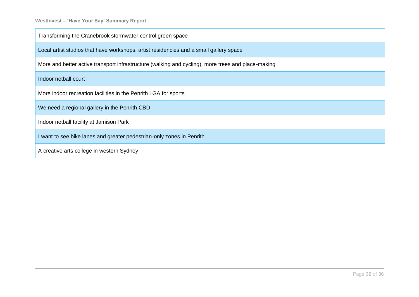| Transforming the Cranebrook stormwater control green space                                         |
|----------------------------------------------------------------------------------------------------|
| Local artist studios that have workshops, artist residencies and a small gallery space             |
| More and better active transport infrastructure (walking and cycling), more trees and place-making |
| Indoor netball court                                                                               |
| More indoor recreation facilities in the Penrith LGA for sports                                    |
| We need a regional gallery in the Penrith CBD                                                      |
| Indoor netball facility at Jamison Park                                                            |
| I want to see bike lanes and greater pedestrian-only zones in Penrith                              |
| A creative arts college in western Sydney                                                          |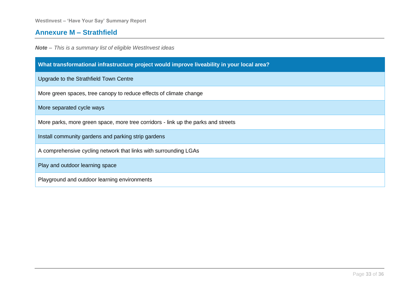## **Annexure M – Strathfield**

<span id="page-32-0"></span>

| What transformational infrastructure project would improve liveability in your local area? |
|--------------------------------------------------------------------------------------------|
| Upgrade to the Strathfield Town Centre                                                     |
| More green spaces, tree canopy to reduce effects of climate change                         |
| More separated cycle ways                                                                  |
| More parks, more green space, more tree corridors - link up the parks and streets          |
| Install community gardens and parking strip gardens                                        |
| A comprehensive cycling network that links with surrounding LGAs                           |
| Play and outdoor learning space                                                            |
| Playground and outdoor learning environments                                               |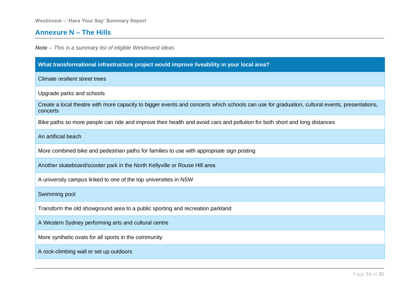### **Annexure N – The Hills**

<span id="page-33-0"></span>

| What transformational infrastructure project would improve liveability in your local area?                                                                |
|-----------------------------------------------------------------------------------------------------------------------------------------------------------|
| <b>Climate resilient street trees</b>                                                                                                                     |
| Upgrade parks and schools                                                                                                                                 |
| Create a local theatre with more capacity to bigger events and concerts which schools can use for graduation, cultural events, presentations,<br>concerts |
| Bike paths so more people can ride and improve their health and avoid cars and pollution for both short and long distances                                |
| An artificial beach                                                                                                                                       |
| More combined bike and pedestrian paths for families to use with appropriate sign posting                                                                 |
| Another skateboard/scooter park in the North Kellyville or Rouse Hill area                                                                                |
| A university campus linked to one of the top universities in NSW                                                                                          |
| Swimming pool                                                                                                                                             |
| Transform the old showground area to a public sporting and recreation parkland                                                                            |
| A Western Sydney performing arts and cultural centre                                                                                                      |
| More synthetic ovals for all sports in the community                                                                                                      |
| A rock-climbing wall or set up outdoors                                                                                                                   |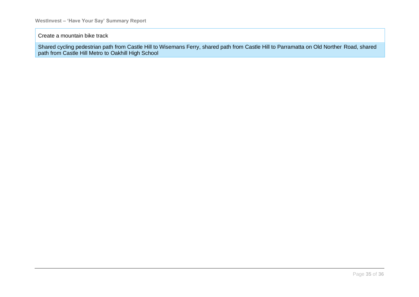#### Create a mountain bike track

Shared cycling pedestrian path from Castle Hill to Wisemans Ferry, shared path from Castle Hill to Parramatta on Old Norther Road, shared path from Castle Hill Metro to Oakhill High School